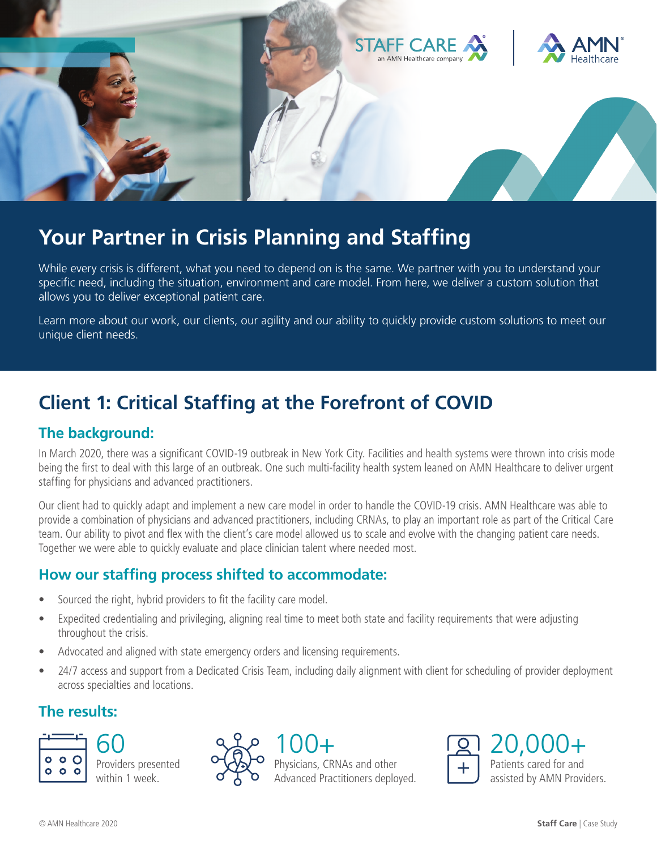

# **Your Partner in Crisis Planning and Staffing**

While every crisis is different, what you need to depend on is the same. We partner with you to understand your specific need, including the situation, environment and care model. From here, we deliver a custom solution that allows you to deliver exceptional patient care.

Learn more about our work, our clients, our agility and our ability to quickly provide custom solutions to meet our unique client needs.

## **Client 1: Critical Staffing at the Forefront of COVID**

#### **The background:**

In March 2020, there was a significant COVID-19 outbreak in New York City. Facilities and health systems were thrown into crisis mode being the first to deal with this large of an outbreak. One such multi-facility health system leaned on AMN Healthcare to deliver urgent staffing for physicians and advanced practitioners.

Our client had to quickly adapt and implement a new care model in order to handle the COVID-19 crisis. AMN Healthcare was able to provide a combination of physicians and advanced practitioners, including CRNAs, to play an important role as part of the Critical Care team. Our ability to pivot and flex with the client's care model allowed us to scale and evolve with the changing patient care needs. Together we were able to quickly evaluate and place clinician talent where needed most.

#### **How our staffing process shifted to accommodate:**

- Sourced the right, hybrid providers to fit the facility care model.
- Expedited credentialing and privileging, aligning real time to meet both state and facility requirements that were adjusting throughout the crisis.
- Advocated and aligned with state emergency orders and licensing requirements.
- 24/7 access and support from a Dedicated Crisis Team, including daily alignment with client for scheduling of provider deployment across specialties and locations.

### **The results:**





Physicians, CRNAs and other Advanced Practitioners deployed. 100+